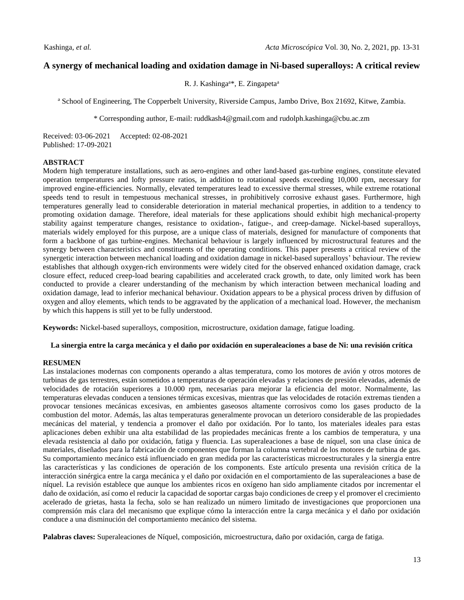## **A synergy of mechanical loading and oxidation damage in Ni-based superalloys: A critical review**

R. J. Kashinga<sup>a\*</sup>, E. Zingapeta<sup>a</sup>

<sup>a</sup> School of Engineering, The Copperbelt University, Riverside Campus, Jambo Drive, Box 21692, Kitwe, Zambia.

\* Corresponding author, E-mail: ruddkash4@gmail.com and rudolph.kashinga@cbu.ac.zm

Received: 03-06-2021 Accepted: 02-08-2021 Published: 17-09-2021

## **ABSTRACT**

Modern high temperature installations, such as aero-engines and other land-based gas-turbine engines, constitute elevated operation temperatures and lofty pressure ratios, in addition to rotational speeds exceeding 10,000 rpm, necessary for improved engine-efficiencies. Normally, elevated temperatures lead to excessive thermal stresses, while extreme rotational speeds tend to result in tempestuous mechanical stresses, in prohibitively corrosive exhaust gases. Furthermore, high temperatures generally lead to considerable deterioration in material mechanical properties, in addition to a tendency to promoting oxidation damage. Therefore, ideal materials for these applications should exhibit high mechanical-property stability against temperature changes, resistance to oxidation-, fatigue-, and creep-damage. Nickel-based superalloys, materials widely employed for this purpose, are a unique class of materials, designed for manufacture of components that form a backbone of gas turbine-engines. Mechanical behaviour is largely influenced by microstructural features and the synergy between characteristics and constituents of the operating conditions. This paper presents a critical review of the synergetic interaction between mechanical loading and oxidation damage in nickel-based superalloys' behaviour. The review establishes that although oxygen-rich environments were widely cited for the observed enhanced oxidation damage, crack closure effect, reduced creep-load bearing capabilities and accelerated crack growth, to date, only limited work has been conducted to provide a clearer understanding of the mechanism by which interaction between mechanical loading and oxidation damage, lead to inferior mechanical behaviour. Oxidation appears to be a physical process driven by diffusion of oxygen and alloy elements, which tends to be aggravated by the application of a mechanical load. However, the mechanism by which this happens is still yet to be fully understood.

**Keywords:** Nickel-based superalloys, composition, microstructure, oxidation damage, fatigue loading.

## **La sinergia entre la carga mecánica y el daño por oxidación en superaleaciones a base de Ni: una revisión crítica**

## **RESUMEN**

Las instalaciones modernas con components operando a altas temperatura, como los motores de avión y otros motores de turbinas de gas terrestres, están sometidos a temperaturas de operación elevadas y relaciones de presión elevadas, además de velocidades de rotación superiores a 10.000 rpm, necesarias para mejorar la eficiencia del motor. Normalmente, las temperaturas elevadas conducen a tensiones térmicas excesivas, mientras que las velocidades de rotación extremas tienden a provocar tensiones mecánicas excesivas, en ambientes gaseosos altamente corrosivos como los gases producto de la combustion del motor. Además, las altas temperaturas generalmente provocan un deterioro considerable de las propiedades mecánicas del material, y tendencia a promover el daño por oxidación. Por lo tanto, los materiales ideales para estas aplicaciones deben exhibir una alta estabilidad de las propiedades mecánicas frente a los cambios de temperatura, y una elevada resistencia al daño por oxidación, fatiga y fluencia. Las superaleaciones a base de níquel, son una clase única de materiales, diseñados para la fabricación de componentes que forman la columna vertebral de los motores de turbina de gas. Su comportamiento mecánico está influenciado en gran medida por las características microestructurales y la sinergia entre las características y las condiciones de operación de los components. Este artículo presenta una revisión crítica de la interacción sinérgica entre la carga mecánica y el daño por oxidación en el comportamiento de las superaleaciones a base de níquel. La revisión establece que aunque los ambientes ricos en oxígeno han sido ampliamente citados por incrementar el daño de oxidación, así como el reducir la capacidad de soportar cargas bajo condiciones de creep y el promover el crecimiento acelerado de grietas, hasta la fecha, solo se han realizado un número limitado de investigaciones que proporcionen una comprensión más clara del mecanismo que explique cómo la interacción entre la carga mecánica y el daño por oxidación conduce a una disminución del comportamiento mecánico del sistema.

**Palabras claves:** Superaleaciones de Níquel, composición, microestructura, daño por oxidación, carga de fatiga.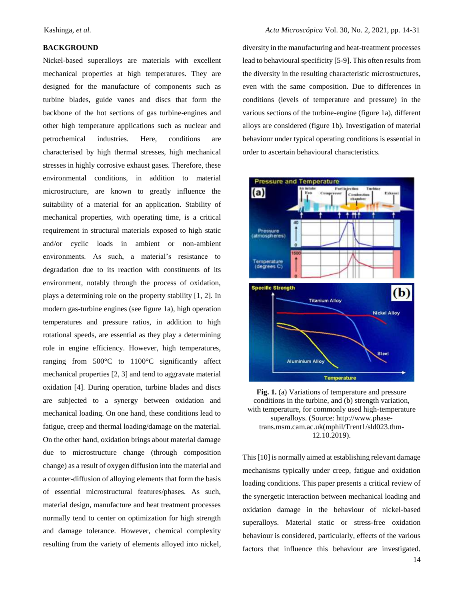## **BACKGROUND**

Nickel-based superalloys are materials with excellent mechanical properties at high temperatures. They are designed for the manufacture of components such as turbine blades, guide vanes and discs that form the backbone of the hot sections of gas turbine-engines and other high temperature applications such as nuclear and petrochemical industries. Here, conditions are characterised by high thermal stresses, high mechanical stresses in highly corrosive exhaust gases. Therefore, these environmental conditions, in addition to material microstructure, are known to greatly influence the suitability of a material for an application. Stability of mechanical properties, with operating time, is a critical requirement in structural materials exposed to high static and/or cyclic loads in ambient or non-ambient environments. As such, a material's resistance to degradation due to its reaction with constituents of its environment, notably through the process of oxidation, plays a determining role on the property stability [1, 2]. In modern gas-turbine engines (see figure 1a), high operation temperatures and pressure ratios, in addition to high rotational speeds, are essential as they play a determining role in engine efficiency. However, high temperatures, ranging from 500°C to 1100°C significantly affect mechanical properties [2, 3] and tend to aggravate material oxidation [4]. During operation, turbine blades and discs are subjected to a synergy between oxidation and mechanical loading. On one hand, these conditions lead to fatigue, creep and thermal loading/damage on the material. On the other hand, oxidation brings about material damage due to microstructure change (through composition change) as a result of oxygen diffusion into the material and a counter-diffusion of alloying elements that form the basis of essential microstructural features/phases. As such, material design, manufacture and heat treatment processes normally tend to center on optimization for high strength and damage tolerance. However, chemical complexity resulting from the variety of elements alloyed into nickel,

diversity in the manufacturing and heat-treatment processes lead to behavioural specificity [5-9]. This often results from the diversity in the resulting characteristic microstructures, even with the same composition. Due to differences in conditions (levels of temperature and pressure) in the various sections of the turbine-engine (figure 1a), different alloys are considered (figure 1b). Investigation of material behaviour under typical operating conditions is essential in order to ascertain behavioural characteristics.



**Fig. 1.** (a) Variations of temperature and pressure conditions in the turbine, and (b) strength variation, with temperature, for commonly used high-temperature superalloys. (Source: http://www.phasetrans.msm.cam.ac.uk(mphil/Trent1/sld023.thm-12.10.2019).

This [10] is normally aimed at establishing relevant damage mechanisms typically under creep, fatigue and oxidation loading conditions. This paper presents a critical review of the synergetic interaction between mechanical loading and oxidation damage in the behaviour of nickel-based superalloys. Material static or stress-free oxidation behaviour is considered, particularly, effects of the various factors that influence this behaviour are investigated.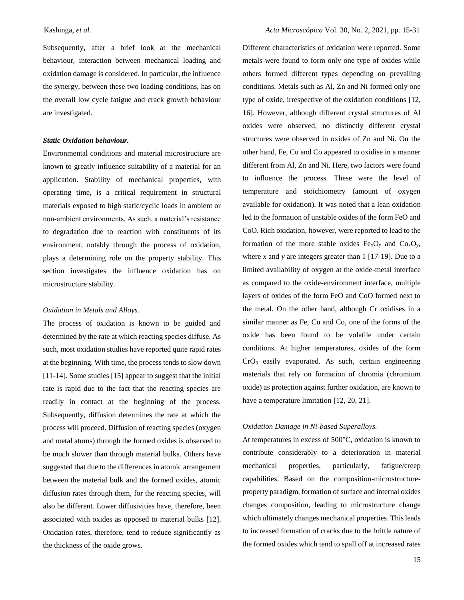Subsequently, after a brief look at the mechanical behaviour, interaction between mechanical loading and oxidation damage is considered. In particular, the influence the synergy, between these two loading conditions, has on the overall low cycle fatigue and crack growth behaviour are investigated.

#### *Static Oxidation behaviour.*

Environmental conditions and material microstructure are known to greatly influence suitability of a material for an application. Stability of mechanical properties, with operating time, is a critical requirement in structural materials exposed to high static/cyclic loads in ambient or non-ambient environments. As such, a material's resistance to degradation due to reaction with constituents of its environment, notably through the process of oxidation, plays a determining role on the property stability. This section investigates the influence oxidation has on microstructure stability.

#### *Oxidation in Metals and Alloys.*

The process of oxidation is known to be guided and determined by the rate at which reacting species diffuse. As such, most oxidation studies have reported quite rapid rates at the beginning. With time, the process tends to slow down [11-14]. Some studies [15] appear to suggest that the initial rate is rapid due to the fact that the reacting species are readily in contact at the beginning of the process. Subsequently, diffusion determines the rate at which the process will proceed. Diffusion of reacting species (oxygen and metal atoms) through the formed oxides is observed to be much slower than through material bulks. Others have suggested that due to the differences in atomic arrangement between the material bulk and the formed oxides, atomic diffusion rates through them, for the reacting species, will also be different. Lower diffusivities have, therefore, been associated with oxides as opposed to material bulks [12]. Oxidation rates, therefore, tend to reduce significantly as the thickness of the oxide grows.

Different characteristics of oxidation were reported. Some metals were found to form only one type of oxides while others formed different types depending on prevailing conditions. Metals such as Al, Zn and Ni formed only one type of oxide, irrespective of the oxidation conditions [12, 16]. However, although different crystal structures of Al oxides were observed, no distinctly different crystal structures were observed in oxides of Zn and Ni. On the other hand, Fe, Cu and Co appeared to oxidise in a manner different from Al, Zn and Ni. Here, two factors were found to influence the process. These were the level of temperature and stoichiometry (amount of oxygen available for oxidation). It was noted that a lean oxidation led to the formation of unstable oxides of the form FeO and CoO. Rich oxidation, however, were reported to lead to the formation of the more stable oxides  $Fe<sub>x</sub>O<sub>y</sub>$  and  $Co<sub>x</sub>O<sub>y</sub>$ , where *x* and *y* are integers greater than 1 [17-19]. Due to a limited availability of oxygen at the oxide-metal interface as compared to the oxide-environment interface, multiple layers of oxides of the form FeO and CoO formed next to the metal. On the other hand, although Cr oxidises in a similar manner as Fe, Cu and Co, one of the forms of the oxide has been found to be volatile under certain conditions. At higher temperatures, oxides of the form CrO<sup>3</sup> easily evaporated. As such, certain engineering materials that rely on formation of chromia (chromium oxide) as protection against further oxidation, are known to have a temperature limitation [12, 20, 21].

## *Oxidation Damage in Ni-based Superalloys.*

At temperatures in excess of 500°C, oxidation is known to contribute considerably to a deterioration in material mechanical properties, particularly, fatigue/creep capabilities. Based on the composition-microstructureproperty paradigm, formation of surface and internal oxides changes composition, leading to microstructure change which ultimately changes mechanical properties. This leads to increased formation of cracks due to the brittle nature of the formed oxides which tend to spall off at increased rates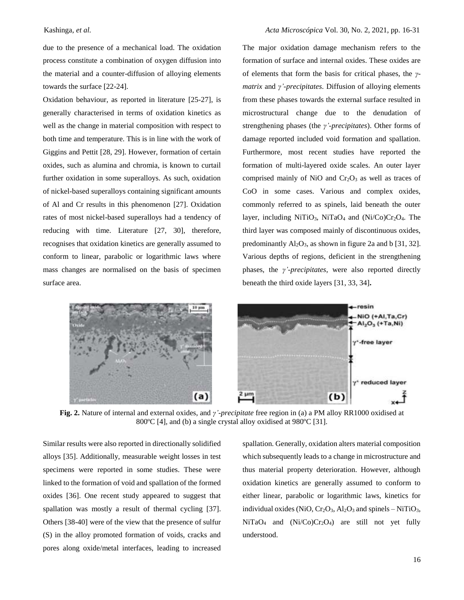due to the presence of a mechanical load. The oxidation process constitute a combination of oxygen diffusion into the material and a counter-diffusion of alloying elements towards the surface [22-24].

Oxidation behaviour, as reported in literature [25-27], is generally characterised in terms of oxidation kinetics as well as the change in material composition with respect to both time and temperature. This is in line with the work of Giggins and Pettit [28, 29]. However, formation of certain oxides, such as alumina and chromia, is known to curtail further oxidation in some superalloys. As such, oxidation of nickel-based superalloys containing significant amounts of Al and Cr results in this phenomenon [27]. Oxidation rates of most nickel-based superalloys had a tendency of reducing with time. Literature [27, 30], therefore, recognises that oxidation kinetics are generally assumed to conform to linear, parabolic or logarithmic laws where mass changes are normalised on the basis of specimen surface area.



The major oxidation damage mechanism refers to the formation of surface and internal oxides. These oxides are of elements that form the basis for critical phases, the *γmatrix* and *γ'-precipitates*. Diffusion of alloying elements from these phases towards the external surface resulted in microstructural change due to the denudation of strengthening phases (the *γ'-precipitates*). Other forms of damage reported included void formation and spallation. Furthermore, most recent studies have reported the formation of multi-layered oxide scales. An outer layer comprised mainly of NiO and  $Cr<sub>2</sub>O<sub>3</sub>$  as well as traces of CoO in some cases. Various and complex oxides, commonly referred to as spinels, laid beneath the outer layer, including NiTiO<sub>3</sub>, NiTaO<sub>4</sub> and  $(Ni/C<sub>0</sub>)Cr<sub>2</sub>O<sub>4</sub>$ . The third layer was composed mainly of discontinuous oxides, predominantly  $Al_2O_3$ , as shown in figure 2a and b [31, 32]. Various depths of regions, deficient in the strengthening phases, the *γ'-precipitates*, were also reported directly beneath the third oxide layers [31, 33, 34]**.**



**Fig. 2.** Nature of internal and external oxides, and *γ'-precipitate* free region in (a) a PM alloy RR1000 oxidised at 800 °C [4], and (b) a single crystal alloy oxidised at 980 °C [31].

Similar results were also reported in directionally solidified alloys [35]. Additionally, measurable weight losses in test specimens were reported in some studies. These were linked to the formation of void and spallation of the formed oxides [36]. One recent study appeared to suggest that spallation was mostly a result of thermal cycling [37]. Others [38-40] were of the view that the presence of sulfur (S) in the alloy promoted formation of voids, cracks and pores along oxide/metal interfaces, leading to increased

spallation. Generally, oxidation alters material composition which subsequently leads to a change in microstructure and thus material property deterioration. However, although oxidation kinetics are generally assumed to conform to either linear, parabolic or logarithmic laws, kinetics for individual oxides (NiO,  $Cr_2O_3$ , Al<sub>2</sub>O<sub>3</sub> and spinels – NiTiO<sub>3</sub>,  $NiTaO<sub>4</sub>$  and  $(Ni/Co)Cr<sub>2</sub>O<sub>4</sub>)$  are still not yet fully understood.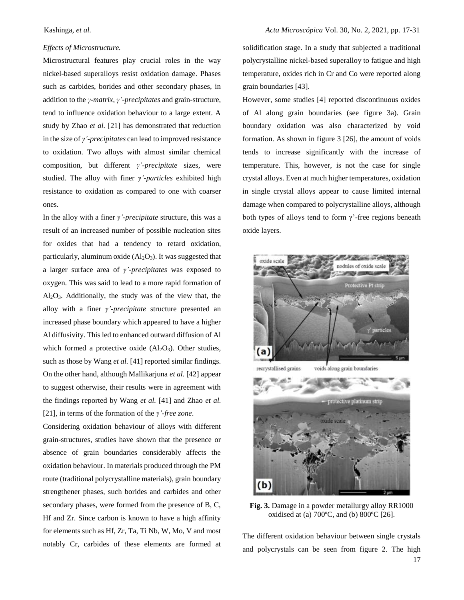#### *Effects of Microstructure.*

Microstructural features play crucial roles in the way nickel-based superalloys resist oxidation damage. Phases such as carbides, borides and other secondary phases, in addition to the *γ-matrix*, *γ'-precipitates* and grain-structure, tend to influence oxidation behaviour to a large extent. A study by Zhao *et al.* [21] has demonstrated that reduction in the size of *γ'-precipitates* can lead to improved resistance to oxidation. Two alloys with almost similar chemical composition, but different *γ'-precipitate* sizes, were studied. The alloy with finer *γ'-particles* exhibited high resistance to oxidation as compared to one with coarser ones.

In the alloy with a finer *γ'-precipitate* structure, this was a result of an increased number of possible nucleation sites for oxides that had a tendency to retard oxidation, particularly, aluminum oxide  $(Al_2O_3)$ . It was suggested that a larger surface area of *γ'-precipitates* was exposed to oxygen. This was said to lead to a more rapid formation of  $Al_2O_3$ . Additionally, the study was of the view that, the alloy with a finer *γ'-precipitate* structure presented an increased phase boundary which appeared to have a higher Al diffusivity. This led to enhanced outward diffusion of Al which formed a protective oxide  $(Al_2O_3)$ . Other studies, such as those by Wang *et al.* [41] reported similar findings. On the other hand, although Mallikarjuna *et al.* [42] appear to suggest otherwise, their results were in agreement with the findings reported by Wang *et al.* [41] and Zhao *et al.* [21], in terms of the formation of the *γ'-free zone*.

Considering oxidation behaviour of alloys with different grain-structures, studies have shown that the presence or absence of grain boundaries considerably affects the oxidation behaviour. In materials produced through the PM route (traditional polycrystalline materials), grain boundary strengthener phases, such borides and carbides and other secondary phases, were formed from the presence of B, C, Hf and Zr. Since carbon is known to have a high affinity for elements such as Hf, Zr, Ta, Ti Nb, W, Mo, V and most notably Cr, carbides of these elements are formed at

solidification stage. In a study that subjected a traditional polycrystalline nickel-based superalloy to fatigue and high temperature, oxides rich in Cr and Co were reported along grain boundaries [43].

However, some studies [4] reported discontinuous oxides of Al along grain boundaries (see figure 3a). Grain boundary oxidation was also characterized by void formation. As shown in figure 3 [26], the amount of voids tends to increase significantly with the increase of temperature. This, however, is not the case for single crystal alloys. Even at much higher temperatures, oxidation in single crystal alloys appear to cause limited internal damage when compared to polycrystalline alloys, although both types of alloys tend to form  $\gamma$ '-free regions beneath oxide layers.



protective platinum strip  $(b)$ 

**Fig. 3.** Damage in a powder metallurgy alloy RR1000 oxidised at (a) 700ºC, and (b) 800ºC [26].

17 The different oxidation behaviour between single crystals and polycrystals can be seen from figure 2. The high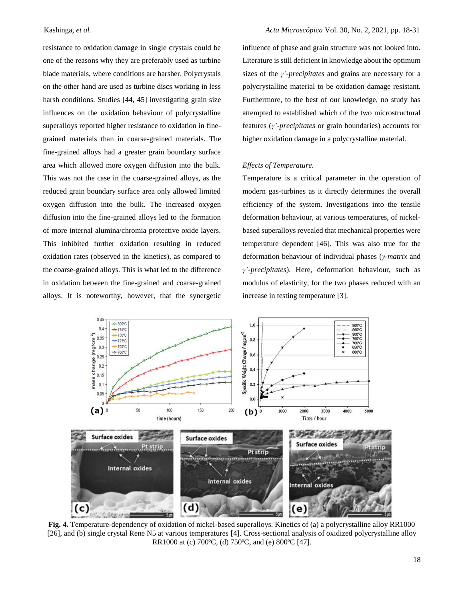resistance to oxidation damage in single crystals could be one of the reasons why they are preferably used as turbine blade materials, where conditions are harsher. Polycrystals on the other hand are used as turbine discs working in less harsh conditions. Studies [44, 45] investigating grain size influences on the oxidation behaviour of polycrystalline superalloys reported higher resistance to oxidation in finegrained materials than in coarse-grained materials. The fine-grained alloys had a greater grain boundary surface area which allowed more oxygen diffusion into the bulk. This was not the case in the coarse-grained alloys, as the reduced grain boundary surface area only allowed limited oxygen diffusion into the bulk. The increased oxygen diffusion into the fine-grained alloys led to the formation of more internal alumina/chromia protective oxide layers. This inhibited further oxidation resulting in reduced oxidation rates (observed in the kinetics), as compared to the coarse-grained alloys. This is what led to the difference in oxidation between the fine-grained and coarse-grained alloys. It is noteworthy, however, that the synergetic

influence of phase and grain structure was not looked into. Literature is still deficient in knowledge about the optimum sizes of the *γ'-precipitates* and grains are necessary for a polycrystalline material to be oxidation damage resistant. Furthermore, to the best of our knowledge, no study has attempted to established which of the two microstructural features (*γ'-precipitates* or grain boundaries) accounts for higher oxidation damage in a polycrystalline material.

#### *Effects of Temperature.*

Temperature is a critical parameter in the operation of modern gas-turbines as it directly determines the overall efficiency of the system. Investigations into the tensile deformation behaviour, at various temperatures, of nickelbased superalloys revealed that mechanical properties were temperature dependent [46]. This was also true for the deformation behaviour of individual phases (*γ-matrix* and *γ'-precipitates*). Here, deformation behaviour, such as modulus of elasticity, for the two phases reduced with an increase in testing temperature [3].



**Fig. 4.** Temperature-dependency of oxidation of nickel-based superalloys. Kinetics of (a) a polycrystalline alloy RR1000 [26], and (b) single crystal Rene N5 at various temperatures [4]. Cross-sectional analysis of oxidized polycrystalline alloy RR1000 at (c) 700ºC, (d) 750ºC, and (e) 800ºC [47].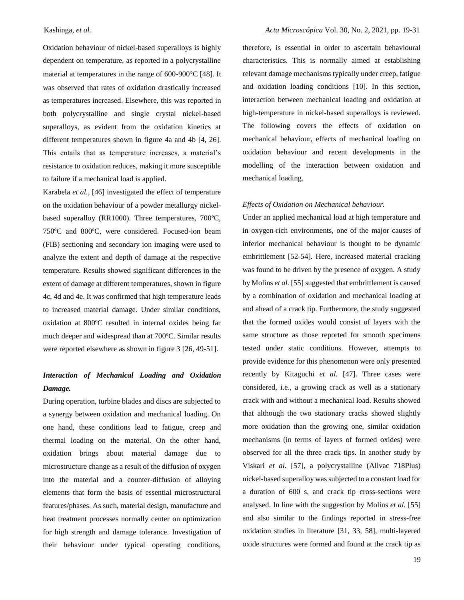Oxidation behaviour of nickel-based superalloys is highly dependent on temperature, as reported in a polycrystalline material at temperatures in the range of  $600-900^{\circ}C$  [48]. It was observed that rates of oxidation drastically increased as temperatures increased. Elsewhere, this was reported in both polycrystalline and single crystal nickel-based superalloys, as evident from the oxidation kinetics at different temperatures shown in figure 4a and 4b [4, 26]. This entails that as temperature increases, a material's resistance to oxidation reduces, making it more susceptible to failure if a mechanical load is applied.

Karabela *et al.*, [46] investigated the effect of temperature on the oxidation behaviour of a powder metallurgy nickelbased superalloy (RR1000). Three temperatures, 700ºC, 750ºC and 800ºC, were considered. Focused-ion beam (FIB) sectioning and secondary ion imaging were used to analyze the extent and depth of damage at the respective temperature. Results showed significant differences in the extent of damage at different temperatures, shown in figure 4c, 4d and 4e. It was confirmed that high temperature leads to increased material damage. Under similar conditions, oxidation at 800ºC resulted in internal oxides being far much deeper and widespread than at 700ºC. Similar results were reported elsewhere as shown in figure 3 [26, 49-51].

# *Interaction of Mechanical Loading and Oxidation Damage.*

During operation, turbine blades and discs are subjected to a synergy between oxidation and mechanical loading. On one hand, these conditions lead to fatigue, creep and thermal loading on the material. On the other hand, oxidation brings about material damage due to microstructure change as a result of the diffusion of oxygen into the material and a counter-diffusion of alloying elements that form the basis of essential microstructural features/phases. As such, material design, manufacture and heat treatment processes normally center on optimization for high strength and damage tolerance. Investigation of their behaviour under typical operating conditions,

therefore, is essential in order to ascertain behavioural characteristics. This is normally aimed at establishing relevant damage mechanisms typically under creep, fatigue and oxidation loading conditions [10]. In this section, interaction between mechanical loading and oxidation at high-temperature in nickel-based superalloys is reviewed. The following covers the effects of oxidation on mechanical behaviour, effects of mechanical loading on oxidation behaviour and recent developments in the modelling of the interaction between oxidation and mechanical loading.

## *Effects of Oxidation on Mechanical behaviour.*

Under an applied mechanical load at high temperature and in oxygen-rich environments, one of the major causes of inferior mechanical behaviour is thought to be dynamic embrittlement [52-54]. Here, increased material cracking was found to be driven by the presence of oxygen. A study by Molins *et al.* [55] suggested that embrittlement is caused by a combination of oxidation and mechanical loading at and ahead of a crack tip. Furthermore, the study suggested that the formed oxides would consist of layers with the same structure as those reported for smooth specimens tested under static conditions. However, attempts to provide evidence for this phenomenon were only presented recently by Kitaguchi *et al.* [47]. Three cases were considered, i.e., a growing crack as well as a stationary crack with and without a mechanical load. Results showed that although the two stationary cracks showed slightly more oxidation than the growing one, similar oxidation mechanisms (in terms of layers of formed oxides) were observed for all the three crack tips. In another study by Viskari *et al.* [57], a polycrystalline (Allvac 718Plus) nickel-based superalloy was subjected to a constant load for a duration of 600 s, and crack tip cross-sections were analysed. In line with the suggestion by Molins *et al.* [55] and also similar to the findings reported in stress-free oxidation studies in literature [31, 33, 58], multi-layered oxide structures were formed and found at the crack tip as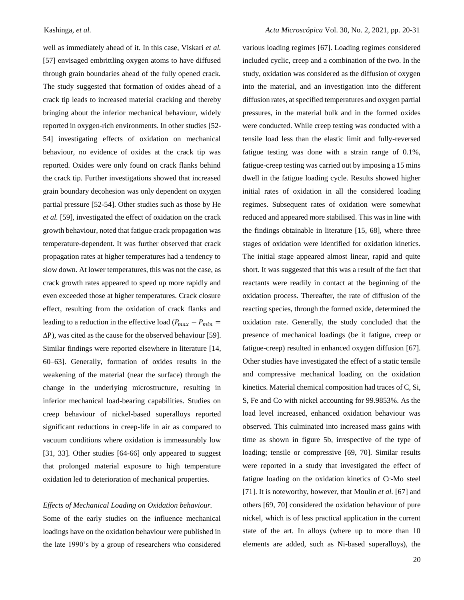well as immediately ahead of it. In this case, Viskari *et al.* [57] envisaged embrittling oxygen atoms to have diffused through grain boundaries ahead of the fully opened crack. The study suggested that formation of oxides ahead of a crack tip leads to increased material cracking and thereby bringing about the inferior mechanical behaviour, widely reported in oxygen-rich environments. In other studies [52- 54] investigating effects of oxidation on mechanical behaviour, no evidence of oxides at the crack tip was reported. Oxides were only found on crack flanks behind the crack tip. Further investigations showed that increased grain boundary decohesion was only dependent on oxygen partial pressure [52-54]. Other studies such as those by He *et al.* [59], investigated the effect of oxidation on the crack growth behaviour, noted that fatigue crack propagation was temperature-dependent. It was further observed that crack propagation rates at higher temperatures had a tendency to slow down. At lower temperatures, this was not the case, as crack growth rates appeared to speed up more rapidly and even exceeded those at higher temperatures. Crack closure effect, resulting from the oxidation of crack flanks and leading to a reduction in the effective load ( $P_{max} - P_{min} =$  $\Delta P$ ), was cited as the cause for the observed behaviour [59]. Similar findings were reported elsewhere in literature [14, 60–63]. Generally, formation of oxides results in the weakening of the material (near the surface) through the change in the underlying microstructure, resulting in inferior mechanical load-bearing capabilities. Studies on creep behaviour of nickel-based superalloys reported significant reductions in creep-life in air as compared to vacuum conditions where oxidation is immeasurably low [31, 33]. Other studies [64-66] only appeared to suggest that prolonged material exposure to high temperature oxidation led to deterioration of mechanical properties.

## *Effects of Mechanical Loading on Oxidation behaviour.*

Some of the early studies on the influence mechanical loadings have on the oxidation behaviour were published in the late 1990's by a group of researchers who considered

various loading regimes [67]. Loading regimes considered included cyclic, creep and a combination of the two. In the study, oxidation was considered as the diffusion of oxygen into the material, and an investigation into the different diffusion rates, at specified temperatures and oxygen partial pressures, in the material bulk and in the formed oxides were conducted. While creep testing was conducted with a tensile load less than the elastic limit and fully-reversed fatigue testing was done with a strain range of 0.1%, fatigue-creep testing was carried out by imposing a 15 mins dwell in the fatigue loading cycle. Results showed higher initial rates of oxidation in all the considered loading regimes. Subsequent rates of oxidation were somewhat reduced and appeared more stabilised. This was in line with the findings obtainable in literature [15, 68], where three stages of oxidation were identified for oxidation kinetics. The initial stage appeared almost linear, rapid and quite short. It was suggested that this was a result of the fact that reactants were readily in contact at the beginning of the oxidation process. Thereafter, the rate of diffusion of the reacting species, through the formed oxide, determined the oxidation rate. Generally, the study concluded that the presence of mechanical loadings (be it fatigue, creep or fatigue-creep) resulted in enhanced oxygen diffusion [67]. Other studies have investigated the effect of a static tensile and compressive mechanical loading on the oxidation kinetics. Material chemical composition had traces of C, Si, S, Fe and Co with nickel accounting for 99.9853%. As the load level increased, enhanced oxidation behaviour was observed. This culminated into increased mass gains with time as shown in figure 5b, irrespective of the type of loading; tensile or compressive [69, 70]. Similar results were reported in a study that investigated the effect of fatigue loading on the oxidation kinetics of Cr-Mo steel [71]. It is noteworthy, however, that Moulin *et al.* [67] and others [69, 70] considered the oxidation behaviour of pure nickel, which is of less practical application in the current state of the art. In alloys (where up to more than 10 elements are added, such as Ni-based superalloys), the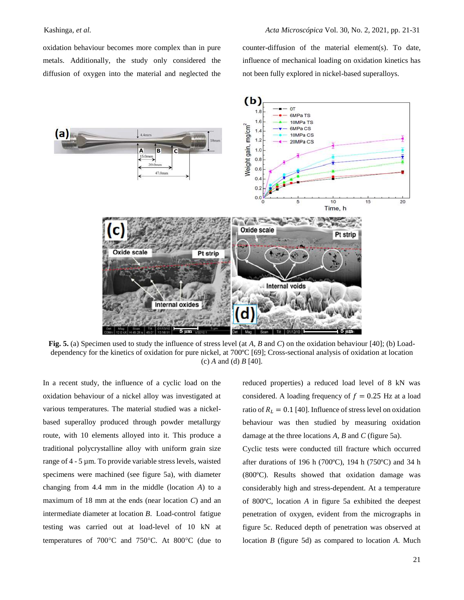oxidation behaviour becomes more complex than in pure metals. Additionally, the study only considered the diffusion of oxygen into the material and neglected the

counter-diffusion of the material element(s). To date, influence of mechanical loading on oxidation kinetics has not been fully explored in nickel-based superalloys.



**Fig. 5.** (a) Specimen used to study the influence of stress level (at *A, B* and *C*) on the oxidation behaviour [40]; (b) Loaddependency for the kinetics of oxidation for pure nickel, at 700ºC [69]; Cross-sectional analysis of oxidation at location (c) *A* and (d) *B* [40].

In a recent study, the influence of a cyclic load on the oxidation behaviour of a nickel alloy was investigated at various temperatures. The material studied was a nickelbased superalloy produced through powder metallurgy route, with 10 elements alloyed into it. This produce a traditional polycrystalline alloy with uniform grain size range of 4 - 5 µm. To provide variable stress levels, waisted specimens were machined (see figure 5a), with diameter changing from 4.4 mm in the middle (location *A*) to a maximum of 18 mm at the ends (near location *C*) and an intermediate diameter at location *B*. Load-control fatigue testing was carried out at load-level of 10 kN at temperatures of  $700^{\circ}$ C and  $750^{\circ}$ C. At  $800^{\circ}$ C (due to

reduced properties) a reduced load level of 8 kN was considered. A loading frequency of  $f = 0.25$  Hz at a load ratio of  $R_L = 0.1$  [40]. Influence of stress level on oxidation behaviour was then studied by measuring oxidation damage at the three locations *A, B* and *C* (figure 5a).

Cyclic tests were conducted till fracture which occurred after durations of 196 h (700ºC), 194 h (750ºC) and 34 h (800ºC). Results showed that oxidation damage was considerably high and stress-dependent. At a temperature of 800ºC, location *A* in figure 5a exhibited the deepest penetration of oxygen, evident from the micrographs in figure 5c. Reduced depth of penetration was observed at location *B* (figure 5d) as compared to location *A*. Much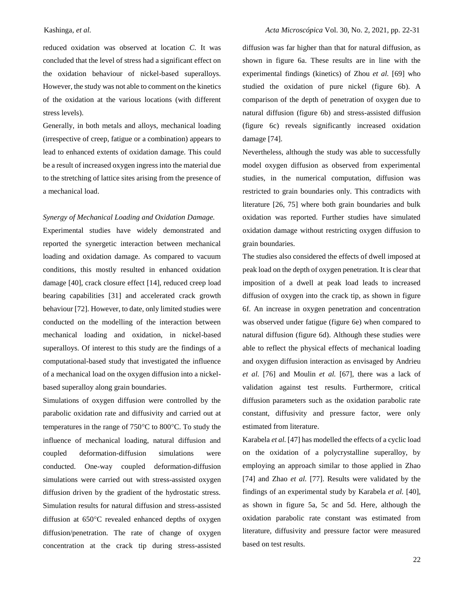reduced oxidation was observed at location *C*. It was concluded that the level of stress had a significant effect on the oxidation behaviour of nickel-based superalloys. However, the study was not able to comment on the kinetics of the oxidation at the various locations (with different stress levels).

Generally, in both metals and alloys, mechanical loading (irrespective of creep, fatigue or a combination) appears to lead to enhanced extents of oxidation damage. This could be a result of increased oxygen ingress into the material due to the stretching of lattice sites arising from the presence of a mechanical load.

## *Synergy of Mechanical Loading and Oxidation Damage.*

Experimental studies have widely demonstrated and reported the synergetic interaction between mechanical loading and oxidation damage. As compared to vacuum conditions, this mostly resulted in enhanced oxidation damage [40], crack closure effect [14], reduced creep load bearing capabilities [31] and accelerated crack growth behaviour [72]. However, to date, only limited studies were conducted on the modelling of the interaction between mechanical loading and oxidation, in nickel-based superalloys. Of interest to this study are the findings of a computational-based study that investigated the influence of a mechanical load on the oxygen diffusion into a nickelbased superalloy along grain boundaries.

Simulations of oxygen diffusion were controlled by the parabolic oxidation rate and diffusivity and carried out at temperatures in the range of  $750^{\circ}$ C to  $800^{\circ}$ C. To study the influence of mechanical loading, natural diffusion and coupled deformation-diffusion simulations were conducted. One-way coupled deformation-diffusion simulations were carried out with stress-assisted oxygen diffusion driven by the gradient of the hydrostatic stress. Simulation results for natural diffusion and stress-assisted diffusion at  $650^{\circ}$ C revealed enhanced depths of oxygen diffusion/penetration. The rate of change of oxygen concentration at the crack tip during stress-assisted

diffusion was far higher than that for natural diffusion, as shown in figure 6a. These results are in line with the experimental findings (kinetics) of Zhou *et al.* [69] who studied the oxidation of pure nickel (figure 6b). A comparison of the depth of penetration of oxygen due to natural diffusion (figure 6b) and stress-assisted diffusion (figure 6c) reveals significantly increased oxidation damage [74].

Nevertheless, although the study was able to successfully model oxygen diffusion as observed from experimental studies, in the numerical computation, diffusion was restricted to grain boundaries only. This contradicts with literature [26, 75] where both grain boundaries and bulk oxidation was reported. Further studies have simulated oxidation damage without restricting oxygen diffusion to grain boundaries.

The studies also considered the effects of dwell imposed at peak load on the depth of oxygen penetration. It is clear that imposition of a dwell at peak load leads to increased diffusion of oxygen into the crack tip, as shown in figure 6f. An increase in oxygen penetration and concentration was observed under fatigue (figure 6e) when compared to natural diffusion (figure 6d). Although these studies were able to reflect the physical effects of mechanical loading and oxygen diffusion interaction as envisaged by Andrieu *et al.* [76] and Moulin *et al.* [67], there was a lack of validation against test results. Furthermore, critical diffusion parameters such as the oxidation parabolic rate constant, diffusivity and pressure factor, were only estimated from literature.

Karabela *et al.* [47] has modelled the effects of a cyclic load on the oxidation of a polycrystalline superalloy, by employing an approach similar to those applied in Zhao [74] and Zhao *et al.* [77]. Results were validated by the findings of an experimental study by Karabela *et al.* [40], as shown in figure 5a, 5c and 5d. Here, although the oxidation parabolic rate constant was estimated from literature, diffusivity and pressure factor were measured based on test results.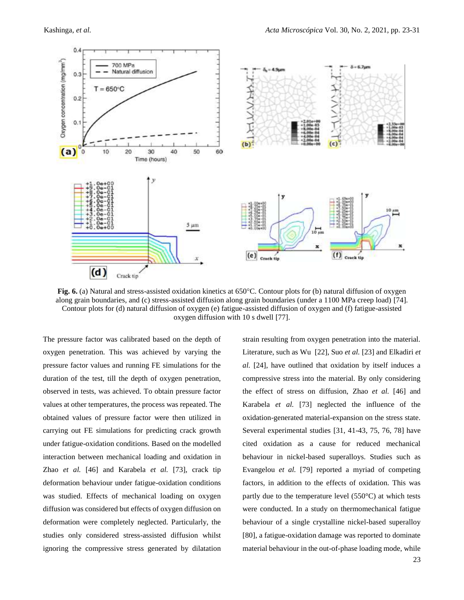

**Fig. 6.** (a) Natural and stress-assisted oxidation kinetics at 650°C. Contour plots for (b) natural diffusion of oxygen along grain boundaries, and (c) stress-assisted diffusion along grain boundaries (under a 1100 MPa creep load) [74]. Contour plots for (d) natural diffusion of oxygen (e) fatigue-assisted diffusion of oxygen and (f) fatigue-assisted oxygen diffusion with 10 s dwell [77].

The pressure factor was calibrated based on the depth of oxygen penetration. This was achieved by varying the pressure factor values and running FE simulations for the duration of the test, till the depth of oxygen penetration, observed in tests, was achieved. To obtain pressure factor values at other temperatures, the process was repeated. The obtained values of pressure factor were then utilized in carrying out FE simulations for predicting crack growth under fatigue-oxidation conditions. Based on the modelled interaction between mechanical loading and oxidation in Zhao *et al.* [46] and Karabela *et al.* [73], crack tip deformation behaviour under fatigue-oxidation conditions was studied. Effects of mechanical loading on oxygen diffusion was considered but effects of oxygen diffusion on deformation were completely neglected. Particularly, the studies only considered stress-assisted diffusion whilst ignoring the compressive stress generated by dilatation

strain resulting from oxygen penetration into the material. Literature, such as Wu [22], Suo *et al.* [23] and Elkadiri *et al.* [24], have outlined that oxidation by itself induces a compressive stress into the material. By only considering the effect of stress on diffusion, Zhao *et al.* [46] and Karabela *et al.* [73] neglected the influence of the oxidation-generated material-expansion on the stress state. Several experimental studies [31, 41-43, 75, 76, 78] have cited oxidation as a cause for reduced mechanical behaviour in nickel-based superalloys. Studies such as Evangelou *et al.* [79] reported a myriad of competing factors, in addition to the effects of oxidation. This was partly due to the temperature level (550°C) at which tests were conducted. In a study on thermomechanical fatigue behaviour of a single crystalline nickel-based superalloy [80], a fatigue-oxidation damage was reported to dominate material behaviour in the out-of-phase loading mode, while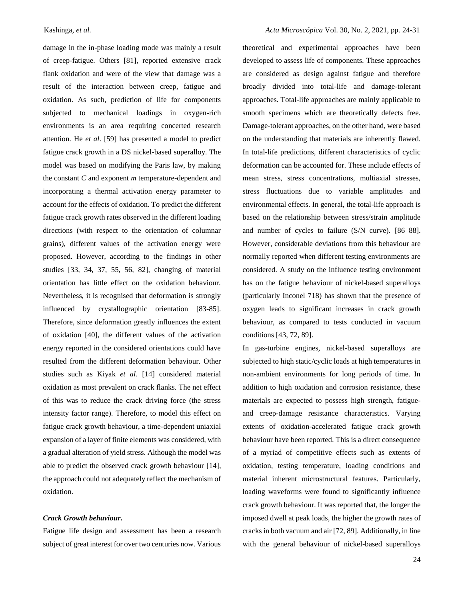damage in the in-phase loading mode was mainly a result of creep-fatigue. Others [81], reported extensive crack flank oxidation and were of the view that damage was a result of the interaction between creep, fatigue and oxidation. As such, prediction of life for components subjected to mechanical loadings in oxygen-rich environments is an area requiring concerted research attention. He *et al*. [59] has presented a model to predict fatigue crack growth in a DS nickel-based superalloy. The model was based on modifying the Paris law, by making the constant *C* and exponent *m* temperature-dependent and incorporating a thermal activation energy parameter to account for the effects of oxidation. To predict the different fatigue crack growth rates observed in the different loading directions (with respect to the orientation of columnar grains), different values of the activation energy were proposed. However, according to the findings in other studies [33, 34, 37, 55, 56, 82], changing of material orientation has little effect on the oxidation behaviour. Nevertheless, it is recognised that deformation is strongly influenced by crystallographic orientation [83-85]. Therefore, since deformation greatly influences the extent of oxidation [40], the different values of the activation energy reported in the considered orientations could have resulted from the different deformation behaviour. Other studies such as Kiyak *et al*. [14] considered material oxidation as most prevalent on crack flanks. The net effect of this was to reduce the crack driving force (the stress intensity factor range). Therefore, to model this effect on fatigue crack growth behaviour, a time-dependent uniaxial expansion of a layer of finite elements was considered, with a gradual alteration of yield stress. Although the model was able to predict the observed crack growth behaviour [14], the approach could not adequately reflect the mechanism of oxidation.

## *Crack Growth behaviour.*

Fatigue life design and assessment has been a research subject of great interest for over two centuries now. Various

theoretical and experimental approaches have been developed to assess life of components. These approaches are considered as design against fatigue and therefore broadly divided into total-life and damage-tolerant approaches. Total-life approaches are mainly applicable to smooth specimens which are theoretically defects free. Damage-tolerant approaches, on the other hand, were based on the understanding that materials are inherently flawed. In total-life predictions, different characteristics of cyclic deformation can be accounted for. These include effects of mean stress, stress concentrations, multiaxial stresses, stress fluctuations due to variable amplitudes and environmental effects. In general, the total-life approach is based on the relationship between stress/strain amplitude and number of cycles to failure (S/N curve). [86–88]. However, considerable deviations from this behaviour are normally reported when different testing environments are considered. A study on the influence testing environment has on the fatigue behaviour of nickel-based superalloys (particularly Inconel 718) has shown that the presence of oxygen leads to significant increases in crack growth behaviour, as compared to tests conducted in vacuum conditions [43, 72, 89].

In gas-turbine engines, nickel-based superalloys are subjected to high static/cyclic loads at high temperatures in non-ambient environments for long periods of time. In addition to high oxidation and corrosion resistance, these materials are expected to possess high strength, fatigueand creep-damage resistance characteristics. Varying extents of oxidation-accelerated fatigue crack growth behaviour have been reported. This is a direct consequence of a myriad of competitive effects such as extents of oxidation, testing temperature, loading conditions and material inherent microstructural features. Particularly, loading waveforms were found to significantly influence crack growth behaviour. It was reported that, the longer the imposed dwell at peak loads, the higher the growth rates of cracks in both vacuum and air [72, 89]. Additionally, in line with the general behaviour of nickel-based superalloys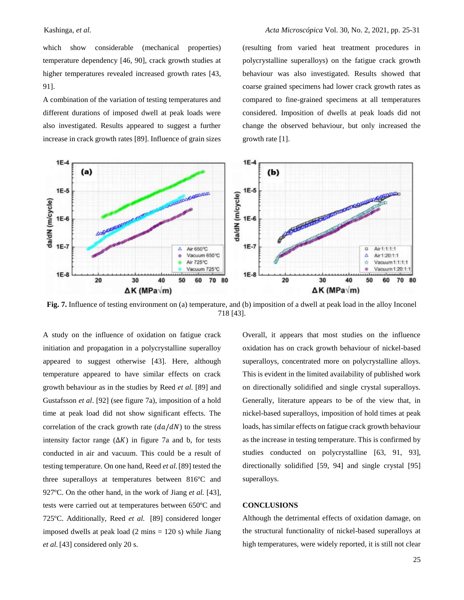which show considerable (mechanical properties) temperature dependency [46, 90], crack growth studies at higher temperatures revealed increased growth rates [43, 91].

A combination of the variation of testing temperatures and different durations of imposed dwell at peak loads were also investigated. Results appeared to suggest a further increase in crack growth rates [89]. Influence of grain sizes

(resulting from varied heat treatment procedures in polycrystalline superalloys) on the fatigue crack growth behaviour was also investigated. Results showed that coarse grained specimens had lower crack growth rates as compared to fine-grained specimens at all temperatures considered. Imposition of dwells at peak loads did not change the observed behaviour, but only increased the growth rate [1].



**Fig. 7.** Influence of testing environment on (a) temperature, and (b) imposition of a dwell at peak load in the alloy Inconel 718 [43].

A study on the influence of oxidation on fatigue crack initiation and propagation in a polycrystalline superalloy appeared to suggest otherwise [43]. Here, although temperature appeared to have similar effects on crack growth behaviour as in the studies by Reed *et al.* [89] and Gustafsson *et al*. [92] (see figure 7a), imposition of a hold time at peak load did not show significant effects. The correlation of the crack growth rate  $(da/dN)$  to the stress intensity factor range  $(\Delta K)$  in figure 7a and b, for tests conducted in air and vacuum. This could be a result of testing temperature. On one hand, Reed *et al.*[89] tested the three superalloys at temperatures between 816ºC and 927ºC. On the other hand, in the work of Jiang *et al.* [43], tests were carried out at temperatures between 650ºC and 725ºC. Additionally, Reed *et al.* [89] considered longer imposed dwells at peak load  $(2 \text{ mins} = 120 \text{ s})$  while Jiang *et al.* [43] considered only 20 s.

Overall, it appears that most studies on the influence oxidation has on crack growth behaviour of nickel-based superalloys, concentrated more on polycrystalline alloys. This is evident in the limited availability of published work on directionally solidified and single crystal superalloys. Generally, literature appears to be of the view that, in nickel-based superalloys, imposition of hold times at peak loads, has similar effects on fatigue crack growth behaviour as the increase in testing temperature. This is confirmed by studies conducted on polycrystalline [63, 91, 93], directionally solidified [59, 94] and single crystal [95] superalloys.

## **CONCLUSIONS**

Although the detrimental effects of oxidation damage, on the structural functionality of nickel-based superalloys at high temperatures, were widely reported, it is still not clear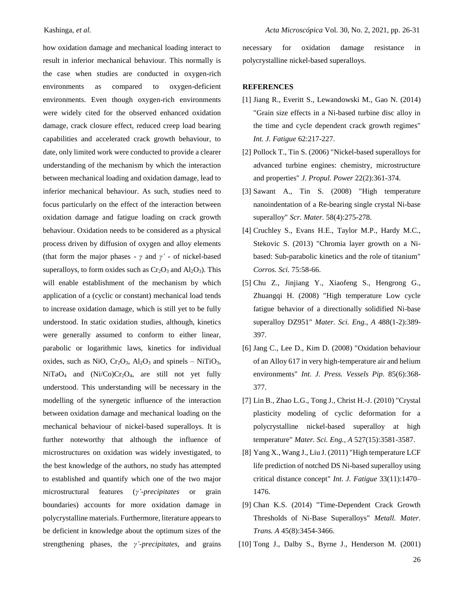how oxidation damage and mechanical loading interact to result in inferior mechanical behaviour. This normally is the case when studies are conducted in oxygen-rich environments as compared to oxygen-deficient environments. Even though oxygen-rich environments were widely cited for the observed enhanced oxidation damage, crack closure effect, reduced creep load bearing capabilities and accelerated crack growth behaviour, to date, only limited work were conducted to provide a clearer understanding of the mechanism by which the interaction between mechanical loading and oxidation damage, lead to inferior mechanical behaviour. As such, studies need to focus particularly on the effect of the interaction between oxidation damage and fatigue loading on crack growth behaviour. Oxidation needs to be considered as a physical process driven by diffusion of oxygen and alloy elements (that form the major phases - *γ* and *γ'* - of nickel-based superalloys, to form oxides such as  $Cr_2O_3$  and  $Al_2O_3$ ). This will enable establishment of the mechanism by which application of a (cyclic or constant) mechanical load tends to increase oxidation damage, which is still yet to be fully understood. In static oxidation studies, although, kinetics were generally assumed to conform to either linear, parabolic or logarithmic laws, kinetics for individual oxides, such as NiO,  $Cr_2O_3$ ,  $Al_2O_3$  and spinels – NiTiO<sub>3</sub>,  $NiTaO<sub>4</sub>$  and  $(Ni/Co)Cr<sub>2</sub>O<sub>4</sub>$ , are still not yet fully understood. This understanding will be necessary in the modelling of the synergetic influence of the interaction between oxidation damage and mechanical loading on the mechanical behaviour of nickel-based superalloys. It is further noteworthy that although the influence of microstructures on oxidation was widely investigated, to the best knowledge of the authors, no study has attempted to established and quantify which one of the two major microstructural features (*γ'-precipitates* or grain boundaries) accounts for more oxidation damage in polycrystalline materials. Furthermore, literature appears to be deficient in knowledge about the optimum sizes of the strengthening phases, the *γ'-precipitates*, and grains

necessary for oxidation damage resistance in polycrystalline nickel-based superalloys.

#### **REFERENCES**

- [1] Jiang R., Everitt S., Lewandowski M., Gao N. (2014) "Grain size effects in a Ni-based turbine disc alloy in the time and cycle dependent crack growth regimes" *Int. J. Fatigue* 62:217-227.
- [2] Pollock T., Tin S. (2006) "Nickel-based superalloys for advanced turbine engines: chemistry, microstructure and properties" *J. Propul. Power* 22(2):361-374.
- [3] Sawant A., Tin S. (2008) "High temperature nanoindentation of a Re-bearing single crystal Ni-base superalloy" *Scr. Mater.* 58(4):275-278.
- [4] Cruchley S., Evans H.E., Taylor M.P., Hardy M.C., Stekovic S. (2013) "Chromia layer growth on a Nibased: Sub-parabolic kinetics and the role of titanium" *Corros. Sci.* 75:58-66.
- [5] Chu Z., Jinjiang Y., Xiaofeng S., Hengrong G., Zhuangqi H. (2008) "High temperature Low cycle fatigue behavior of a directionally solidified Ni-base superalloy DZ951" *Mater. Sci. Eng., A* 488(1-2):389- 397.
- [6] Jang C., Lee D., Kim D. (2008) "Oxidation behaviour of an Alloy 617 in very high-temperature air and helium environments" *Int. J. Press. Vessels Pip.* 85(6):368- 377.
- [7] Lin B., Zhao L.G., Tong J., Christ H.-J. (2010) "Crystal plasticity modeling of cyclic deformation for a polycrystalline nickel-based superalloy at high temperature" *Mater. Sci. Eng., A* 527(15):3581-3587.
- [8] Yang X., Wang J., Liu J. (2011) "High temperature LCF life prediction of notched DS Ni-based superalloy using critical distance concept" *Int. J. Fatigue* 33(11):1470– 1476.
- [9] Chan K.S. (2014) "Time-Dependent Crack Growth Thresholds of Ni-Base Superalloys" *Metall. Mater. Trans. A* 45(8):3454-3466.
- [10] Tong J., Dalby S., Byrne J., Henderson M. (2001)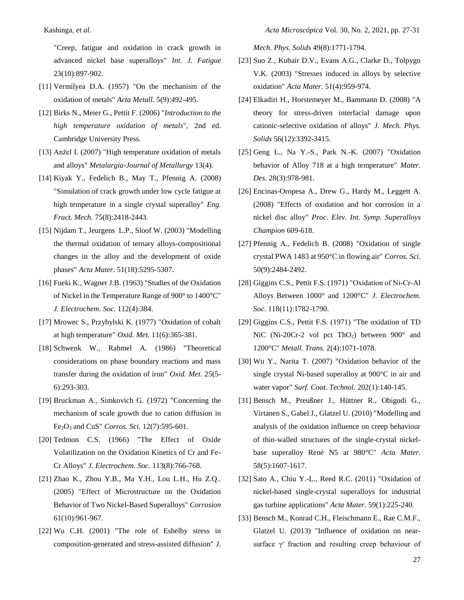"Creep, fatigue and oxidation in crack growth in advanced nickel base superalloys" *Int. J. Fatigue* 23(10):897-902.

- [11] Vermilyea D.A. (1957) "On the mechanism of the oxidation of metals" *Acta Metall.* 5(9):492-495.
- [12] Birks N., Meier G., Pettit F. (2006) "*Introduction to the high temperature oxidation of metals*", 2nd ed. Cambridge University Press.
- [13] Anžel I. (2007) "High temperature oxidation of metals and alloys" *Metalurgia-Journal of Metallurgy* 13(4).
- [14] Kiyak Y., Fedelich B., May T., Pfennig A. (2008) "Simulation of crack growth under low cycle fatigue at high temperature in a single crystal superalloy" *Eng. Fract. Mech.* 75(8):2418-2443.
- [15] Nijdam T., Jeurgens L.P., Sloof W. (2003) "Modelling the thermal oxidation of ternary alloys-compositional changes in the alloy and the development of oxide phases" *Acta Mater*. 51(18):5295-5307.
- [16] Fueki K., Wagner J.B. (1963) "Studies of the Oxidation of Nickel in the Temperature Range of 900° to 1400°C" *J. Electrochem. Soc.* 112(4):384.
- [17] Mrowec S., Przybylski K. (1977) "Oxidation of cobalt at high temperature" *Oxid. Met.* 11(6):365-381.
- [18] Schwenk W., Rahmel A. (1986) "Theoretical considerations on phase boundary reactions and mass transfer during the oxidation of iron" *Oxid. Met.* 25(5- 6):293-303.
- [19] Bruckman A., Simkovich G. (1972) "Concerning the mechanism of scale growth due to cation diffusion in Fe2O<sup>3</sup> and CuS" *Corros. Sci.* 12(7):595-601.
- [20] Tedmon C.S. (1966) "The Effect of Oxide Volatilization on the Oxidation Kinetics of Cr and Fe-Cr Alloys" *J. Electrochem. Soc.* 113(8):766-768.
- [21] Zhao K., Zhou Y.B., Ma Y.H., Lou L.H., Hu Z.Q.. (2005) "Effect of Microstructure on the Oxidation Behavior of Two Nickel-Based Superalloys" *Corrosion* 61(10):961-967.
- [22] Wu C.H. (2001) "The role of Eshelby stress in composition-generated and stress-assisted diffusion" *J.*

*Mech. Phys. Solids* 49(8):1771-1794.

- [23] Suo Z., Kubair D.V., Evans A.G., Clarke D., Tolpygo V.K. (2003) "Stresses induced in alloys by selective oxidation" *Acta Mater.* 51(4):959-974.
- [24] Elkadiri H., Horstemeyer M., Bammann D. (2008) "A theory for stress-driven interfacial damage upon cationic-selective oxidation of alloys" *J. Mech. Phys. Solids* 56(12):3392-3415.
- [25] Geng L., Na Y.-S., Park N.-K. (2007) "Oxidation behavior of Alloy 718 at a high temperature" *Mater. Des.* 28(3):978-981.
- [26] Encinas-Oropesa A., Drew G., Hardy M., Leggett A. (2008) "Effects of oxidation and hot corrosion in a nickel disc alloy" *Proc. Elev. Int. Symp. Superalloys Champion* 609-618.
- [27] Pfennig A., Fedelich B. (2008) "Oxidation of single crystal PWA 1483 at 950°C in flowing air" *Corros. Sci*. 50(9):2484-2492.
- [28] Giggins C.S., Pettit F.S. (1971) "Oxidation of Ni‐Cr‐Al Alloys Between 1000° and 1200°C" *J. Electrochem. Soc.* 118(11):1782-1790.
- [29] Giggins C.S., Pettit F.S. (1971) "The oxidation of TD NiC (Ni-20Cr-2 vol pct ThO<sub>2</sub>) between  $900^{\circ}$  and 1200°C" *Metall. Trans.* 2(4):1071-1078.
- [30] Wu Y., Narita T. (2007) "Oxidation behavior of the single crystal Ni-based superalloy at 900°C in air and water vapor" *Surf. Coat. Technol.* 202(1):140-145.
- [31] Bensch M., Preußner J., Hüttner R., Obigodi G., Virtanen S., Gabel J., Glatzel U. (2010) "Modelling and analysis of the oxidation influence on creep behaviour of thin-walled structures of the single-crystal nickelbase superalloy René N5 at 980°C" *Acta Mater.* 58(5):1607-1617.
- [32] Sato A., Chiu Y.-L., Reed R.C. (2011) "Oxidation of nickel-based single-crystal superalloys for industrial gas turbine applications" *Acta Mater.* 59(1):225-240.
- [33] Bensch M., Konrad C.H., Fleischmann E., Rae C.M.F., Glatzel U. (2013) "Influence of oxidation on nearsurface γ′ fraction and resulting creep behaviour of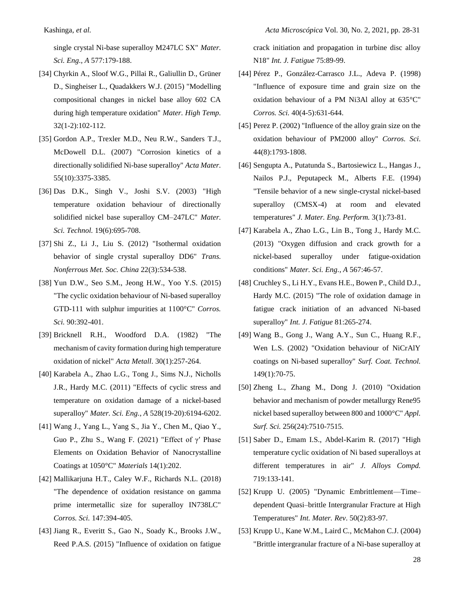single crystal Ni-base superalloy M247LC SX" *Mater. Sci. Eng., A* 577:179-188.

- [34] Chyrkin A., Sloof W.G., Pillai R., Galiullin D., Grüner D., Singheiser L., Quadakkers W.J. (2015) "Modelling compositional changes in nickel base alloy 602 CA during high temperature oxidation" *Mater. High Temp.* 32(1-2):102-112.
- [35] Gordon A.P., Trexler M.D., Neu R.W., Sanders T.J., McDowell D.L. (2007) "Corrosion kinetics of a directionally solidified Ni-base superalloy" *Acta Mater.* 55(10):3375-3385.
- [36] Das D.K., Singh V., Joshi S.V. (2003) "High temperature oxidation behaviour of directionally solidified nickel base superalloy CM–247LC" *Mater. Sci. Technol.* 19(6):695-708.
- [37] Shi Z., Li J., Liu S. (2012) "Isothermal oxidation behavior of single crystal superalloy DD6" *Trans. Nonferrous Met. Soc. China* 22(3):534-538.
- [38] Yun D.W., Seo S.M., Jeong H.W., Yoo Y.S. (2015) "The cyclic oxidation behaviour of Ni-based superalloy GTD-111 with sulphur impurities at 1100°C" *Corros. Sci.* 90:392-401.
- [39] Bricknell R.H., Woodford D.A. (1982) "The mechanism of cavity formation during high temperature oxidation of nickel" *Acta Metall*. 30(1):257-264.
- [40] Karabela A., Zhao L.G., Tong J., Sims N.J., Nicholls J.R., Hardy M.C. (2011) "Effects of cyclic stress and temperature on oxidation damage of a nickel-based superalloy" *Mater. Sci. Eng., A* 528(19-20):6194-6202.
- [41] Wang J., Yang L., Yang S., Jia Y., Chen M., Qiao Y., Guo P., Zhu S., Wang F. (2021) "Effect of  $\gamma'$  Phase Elements on Oxidation Behavior of Nanocrystalline Coatings at 1050°C" *Materials* 14(1):202.
- [42] Mallikarjuna H.T., Caley W.F., Richards N.L. (2018) "The dependence of oxidation resistance on gamma prime intermetallic size for superalloy IN738LC" *Corros. Sci.* 147:394-405.
- [43] Jiang R., Everitt S., Gao N., Soady K., Brooks J.W., Reed P.A.S. (2015) "Influence of oxidation on fatigue

crack initiation and propagation in turbine disc alloy N18" *Int. J. Fatigue* 75:89-99.

- [44] Pérez P., González-Carrasco J.L., Adeva P. (1998) "Influence of exposure time and grain size on the oxidation behaviour of a PM Ni3Al alloy at 635°C" *Corros. Sci.* 40(4-5):631-644.
- [45] Perez P. (2002) "Influence of the alloy grain size on the oxidation behaviour of PM2000 alloy" *Corros. Sci*. 44(8):1793-1808.
- [46] Sengupta A., Putatunda S., Bartosiewicz L., Hangas J., Nailos P.J., Peputapeck M., Alberts F.E. (1994) "Tensile behavior of a new single-crystal nickel-based superalloy (CMSX-4) at room and elevated temperatures" *J. Mater. Eng. Perform.* 3(1):73-81.
- [47] Karabela A., Zhao L.G., Lin B., Tong J., Hardy M.C. (2013) "Oxygen diffusion and crack growth for a nickel-based superalloy under fatigue-oxidation conditions" *Mater. Sci. Eng., A* 567:46-57.
- [48] Cruchley S., Li H.Y., Evans H.E., Bowen P., Child D.J., Hardy M.C. (2015) "The role of oxidation damage in fatigue crack initiation of an advanced Ni-based superalloy" *Int. J. Fatigue* 81:265-274.
- [49] Wang B., Gong J., Wang A.Y., Sun C., Huang R.F., Wen L.S. (2002) "Oxidation behaviour of NiCrAlY coatings on Ni-based superalloy" *Surf. Coat. Technol.* 149(1):70-75.
- [50] Zheng L., Zhang M., Dong J. (2010) "Oxidation behavior and mechanism of powder metallurgy Rene95 nickel based superalloy between 800 and 1000°C" *Appl. Surf. Sci.* 256(24):7510-7515.
- [51] Saber D., Emam I.S., Abdel-Karim R. (2017) "High temperature cyclic oxidation of Ni based superalloys at different temperatures in air" *J. Alloys Compd.* 719:133-141.
- [52] Krupp U. (2005) "Dynamic Embrittlement—Time– dependent Quasi–brittle Intergranular Fracture at High Temperatures" *Int. Mater. Rev*. 50(2):83-97.
- [53] Krupp U., Kane W.M., Laird C., McMahon C.J. (2004) "Brittle intergranular fracture of a Ni-base superalloy at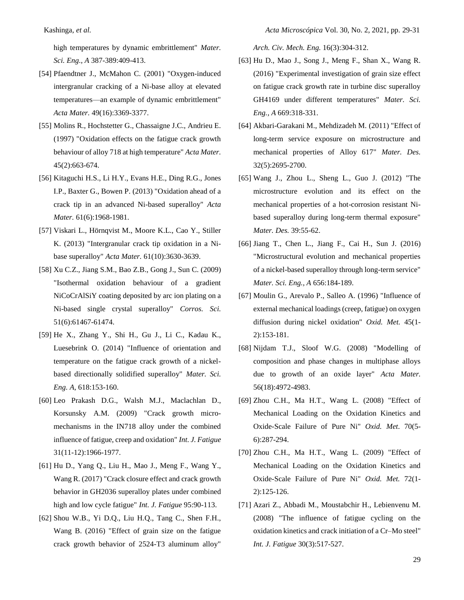high temperatures by dynamic embrittlement" *Mater. Sci. Eng., A* 387-389:409-413.

- [54] Pfaendtner J., McMahon C. (2001) "Oxygen-induced intergranular cracking of a Ni-base alloy at elevated temperatures—an example of dynamic embrittlement" *Acta Mater.* 49(16):3369-3377.
- [55] Molins R., Hochstetter G., Chassaigne J.C., Andrieu E. (1997) "Oxidation effects on the fatigue crack growth behaviour of alloy 718 at high temperature" *Acta Mater.* 45(2):663-674.
- [56] Kitaguchi H.S., Li H.Y., Evans H.E., Ding R.G., Jones I.P., Baxter G., Bowen P. (2013) "Oxidation ahead of a crack tip in an advanced Ni-based superalloy" *Acta Mater.* 61(6):1968-1981.
- [57] Viskari L., Hörnqvist M., Moore K.L., Cao Y., Stiller K. (2013) "Intergranular crack tip oxidation in a Nibase superalloy" *Acta Mater.* 61(10):3630-3639.
- [58] Xu C.Z., Jiang S.M., Bao Z.B., Gong J., Sun C. (2009) "Isothermal oxidation behaviour of a gradient NiCoCrAlSiY coating deposited by arc ion plating on a Ni-based single crystal superalloy" *Corros. Sci.* 51(6):61467-61474.
- [59] He X., Zhang Y., Shi H., Gu J., Li C., Kadau K., Luesebrink O. (2014) "Influence of orientation and temperature on the fatigue crack growth of a nickelbased directionally solidified superalloy" *Mater. Sci. Eng. A,* 618:153-160.
- [60] Leo Prakash D.G., Walsh M.J., Maclachlan D., Korsunsky A.M. (2009) "Crack growth micromechanisms in the IN718 alloy under the combined influence of fatigue, creep and oxidation" *Int. J. Fatigue*  31(11-12):1966-1977.
- [61] Hu D., Yang Q., Liu H., Mao J., Meng F., Wang Y., Wang R. (2017) "Crack closure effect and crack growth behavior in GH2036 superalloy plates under combined high and low cycle fatigue" *Int. J. Fatigue* 95:90-113.
- [62] Shou W.B., Yi D.Q., Liu H.Q., Tang C., Shen F.H., Wang B. (2016) "Effect of grain size on the fatigue crack growth behavior of 2524-T3 aluminum alloy"

*Arch. Civ. Mech. Eng.* 16(3):304-312.

- [63] Hu D., Mao J., Song J., Meng F., Shan X., Wang R. (2016) "Experimental investigation of grain size effect on fatigue crack growth rate in turbine disc superalloy GH4169 under different temperatures" *Mater. Sci. Eng., A* 669:318-331.
- [64] Akbari-Garakani M., Mehdizadeh M. (2011) "Effect of long-term service exposure on microstructure and mechanical properties of Alloy 617" *Mater. Des.* 32(5):2695-2700.
- [65] Wang J., Zhou L., Sheng L., Guo J. (2012) "The microstructure evolution and its effect on the mechanical properties of a hot-corrosion resistant Nibased superalloy during long-term thermal exposure" *Mater. Des.* 39:55-62.
- [66] Jiang T., Chen L., Jiang F., Cai H., Sun J. (2016) "Microstructural evolution and mechanical properties of a nickel-based superalloy through long-term service" *Mater. Sci. Eng., A* 656:184-189.
- [67] Moulin G., Arevalo P., Salleo A. (1996) "Influence of external mechanical loadings (creep, fatigue) on oxygen diffusion during nickel oxidation" *Oxid. Met.* 45(1- 2):153-181.
- [68] Nijdam T.J., Sloof W.G. (2008) "Modelling of composition and phase changes in multiphase alloys due to growth of an oxide layer" *Acta Mater.* 56(18):4972-4983.
- [69] Zhou C.H., Ma H.T., Wang L. (2008) "Effect of Mechanical Loading on the Oxidation Kinetics and Oxide-Scale Failure of Pure Ni" *Oxid. Met*. 70(5- 6):287-294.
- [70] Zhou C.H., Ma H.T., Wang L. (2009) "Effect of Mechanical Loading on the Oxidation Kinetics and Oxide-Scale Failure of Pure Ni" *Oxid. Met.* 72(1- 2):125-126.
- [71] Azari Z., Abbadi M., Moustabchir H., Lebienvenu M. (2008) "The influence of fatigue cycling on the oxidation kinetics and crack initiation of a Cr–Mo steel" *Int. J. Fatigue* 30(3):517-527.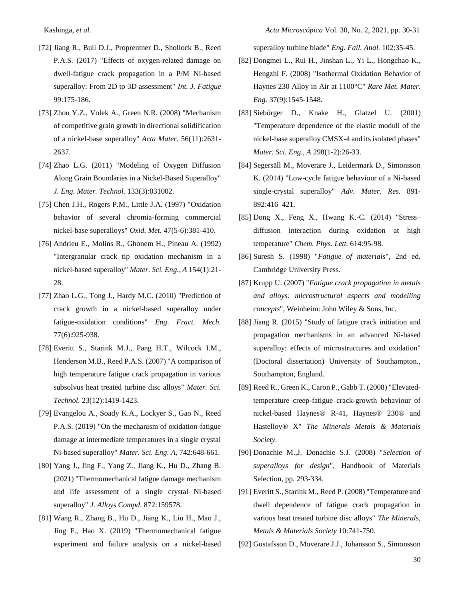- [72] Jiang R., Bull D.J., Proprentner D., Shollock B., Reed P.A.S. (2017) "Effects of oxygen-related damage on dwell-fatigue crack propagation in a P/M Ni-based superalloy: From 2D to 3D assessment" *Int. J. Fatigue* 99:175-186.
- [73] Zhou Y.Z., Volek A., Green N.R. (2008) "Mechanism of competitive grain growth in directional solidification of a nickel-base superalloy" *Acta Mater.* 56(11):2631- 2637.
- [74] Zhao L.G. (2011) "Modeling of Oxygen Diffusion Along Grain Boundaries in a Nickel-Based Superalloy" *J. Eng. Mater. Technol.* 133(3):031002.
- [75] Chen J.H., Rogers P.M., Little J.A. (1997) "Oxidation behavior of several chromia-forming commercial nickel-base superalloys" *Oxid. Met.* 47(5-6):381-410.
- [76] Andrieu E., Molins R., Ghonem H., Pineau A. (1992) "Intergranular crack tip oxidation mechanism in a nickel-based superalloy" *Mater. Sci. Eng., A* 154(1):21- 28.
- [77] Zhao L.G., Tong J., Hardy M.C. (2010) "Prediction of crack growth in a nickel-based superalloy under fatigue-oxidation conditions" *Eng. Fract. Mech.* 77(6):925-938.
- [78] Everitt S., Starink M.J., Pang H.T., Wilcock I.M., Henderson M.B., Reed P.A.S. (2007) "A comparison of high temperature fatigue crack propagation in various subsolvus heat treated turbine disc alloys" *Mater. Sci. Technol.* 23(12):1419-1423.
- [79] Evangelou A., Soady K.A., Lockyer S., Gao N., Reed P.A.S. (2019) "On the mechanism of oxidation-fatigue damage at intermediate temperatures in a single crystal Ni-based superalloy" *Mater. Sci. Eng. A,* 742:648-661.
- [80] Yang J., Jing F., Yang Z., Jiang K., Hu D., Zhang B. (2021) "Thermomechanical fatigue damage mechanism and life assessment of a single crystal Ni-based superalloy" *J. Alloys Compd.* 872:159578.
- [81] Wang R., Zhang B., Hu D., Jiang K., Liu H., Mao J., Jing F., Hao X. (2019) "Thermomechanical fatigue experiment and failure analysis on a nickel-based

superalloy turbine blade" *Eng. Fail. Anal.* 102:35-45.

- [82] Dongmei L., Rui H., Jinshan L., Yi L., Hongchao K., Hengzhi F. (2008) "Isothermal Oxidation Behavior of Haynes 230 Alloy in Air at 1100°C" *Rare Met. Mater. Eng.* 37(9):1545-1548.
- [83] Siebörger D., Knake H., Glatzel U. (2001) "Temperature dependence of the elastic moduli of the nickel-base superalloy CMSX-4 and its isolated phases" *Mater. Sci. Eng., A* 298(1-2):26-33.
- [84] Segersäll M., Moverare J., Leidermark D., Simonsson K. (2014) "Low-cycle fatigue behaviour of a Ni-based single-crystal superalloy" *Adv. Mater. Res.* 891- 892:416–421.
- [85] Dong X., Feng X., Hwang K.-C. (2014) "Stress– diffusion interaction during oxidation at high temperature" *Chem. Phys. Lett.* 614:95-98.
- [86] Suresh S. (1998) "*Fatigue of materials*", 2nd ed. Cambridge University Press.
- [87] Krupp U. (2007) "*Fatigue crack propagation in metals and alloys: microstructural aspects and modelling concepts*", Weinheim: John Wiley & Sons, Inc.
- [88] Jiang R. (2015) "Study of fatigue crack initiation and propagation mechanisms in an advanced Ni-based superalloy: effects of microstructures and oxidation" (Doctoral dissertation) University of Southampton., Southampton, England.
- [89] Reed R., Green K., Caron P., Gabb T. (2008) "Elevatedtemperature creep-fatigue crack-growth behaviour of nickel-based Haynes® R-41, Haynes® 230® and Hastelloy® X" *The Minerals Metals & Materials Society.*
- [90] Donachie M.,J. Donachie S.J. (2008) "*Selection of superalloys for design*", Handbook of Materials Selection, pp. 293-334.
- [91] Everitt S., Starink M., Reed P. (2008) "Temperature and dwell dependence of fatigue crack propagation in various heat treated turbine disc alloys" *The Minerals, Metals & Materials Society* 10:741-750.
- [92] Gustafsson D., Moverare J.J., Johansson S., Simonsson